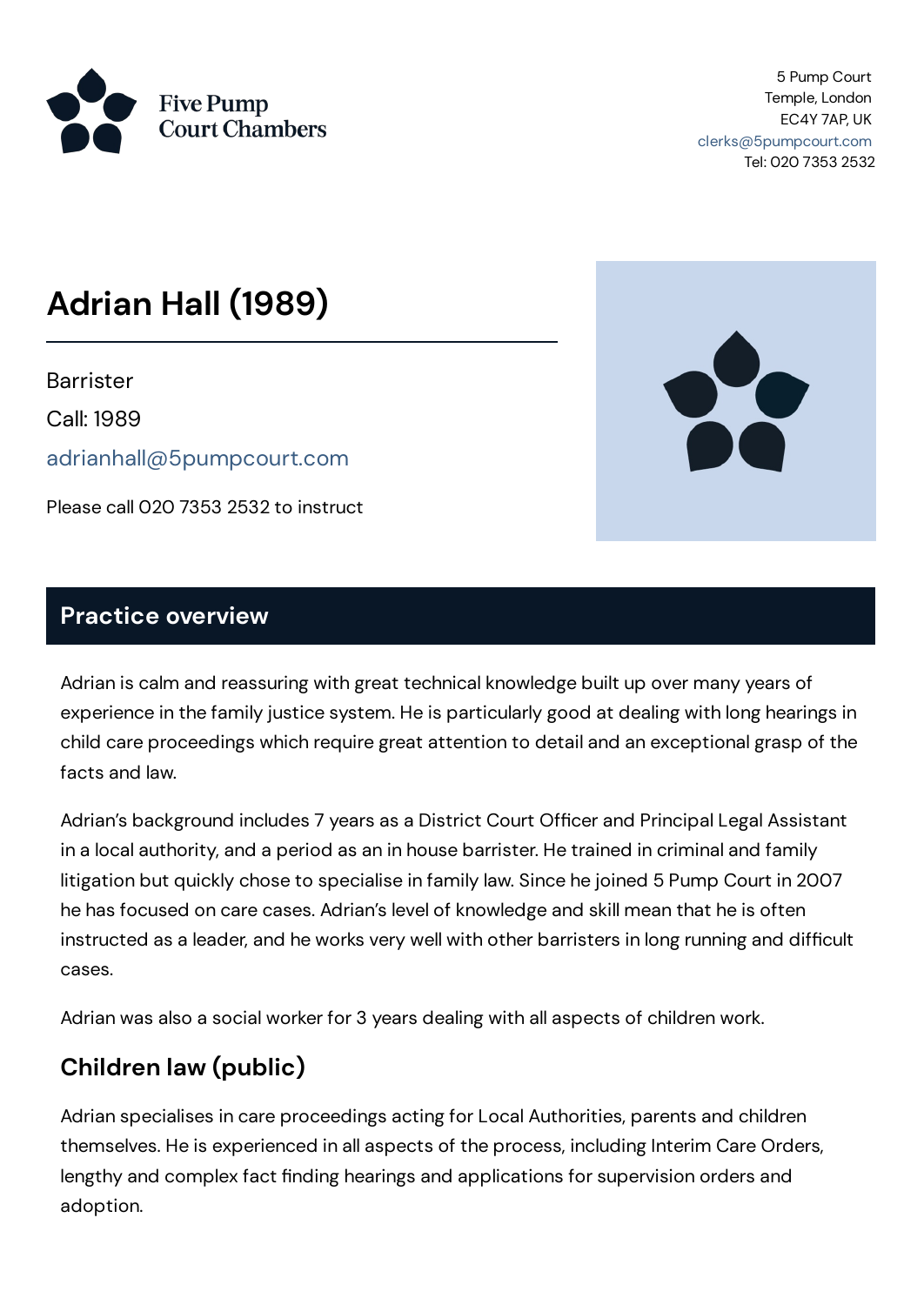

5 Pump Court Temple, London EC4Y 7AP, UK [clerks@5pumpcourt.com](mailto:clerks@5pumpcourt.com) Tel: 020 7353 2532

# **Adrian Hall (1989)**

**Barrister** 

Call: 1989

[adrianhall@5pumpcourt.com](mailto:adrianhall@5pumpcourt.com)

Please call 020 7353 2532 to instruct



#### **Practice overview**

Adrian is calm and reassuring with great technical knowledge built up over many years of experience in the family justice system. He is particularly good at dealing with long hearings in child care proceedings which require great attention to detail and an exceptional grasp of the facts and law.

Adrian's background includes 7 years as a District Court Officer and Principal Legal Assistant in a local authority, and a period as an in house barrister. He trained in criminal and family litigation but quickly chose to specialise in family law. Since he joined 5 Pump Court in 2007 he has focused on care cases. Adrian's level of knowledge and skill mean that he is often instructed as a leader, and he works very well with other barristers in long running and difficult cases.

Adrian was also a social worker for 3 years dealing with all aspects of children work.

## **Children law (public)**

Adrian specialises in care proceedings acting for Local Authorities, parents and children themselves. He is experienced in all aspects of the process, including Interim Care Orders, lengthy and complex fact finding hearings and applications for supervision orders and adoption.